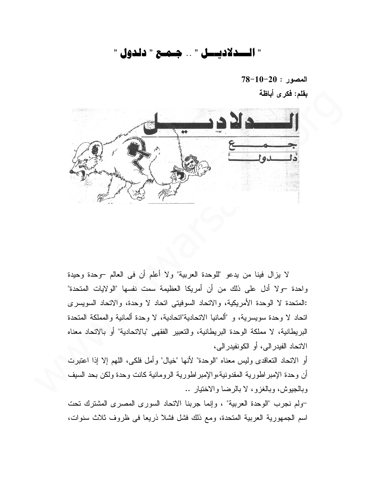## " السدلاديسل " .. جـمـع " دلدول "

 $78-10-20$  : المصور بقلم: فكرى أباظة



لا يزال فينا من يدعو "للوحدة العربية" ولا أعلم أن في العالم –وحدة وحيدة واحدة –ولا أدل على ذلك من أن أمريكا العظيمة سمت نفسها "الولايات المتحدة" :المتحدة لا الوحدة الأمريكية، والاتحاد السوفيتي اتحاد لا وحدة، والاتحاد السويسري اتحاد لا وحدة سويسرية، و "ألمانيا الاتحادية"اتحادية، لا وحدة ألمانية والمملكة المتحدة البريطانية، لا مملكة الوحدة البريطانية، والتعبير الفقهي "بالاتحادية" أو بالاتحاد معناه الاتحاد الفيدر الى، أو الكونفيدر الى،

أو الاتحاد النعاقدي وليس معناه "الوحدة" لأنها "خيال" وأمل فلكي، اللهم إلا إذا اعتبرت " أن وحدة الإمبر اطورية المقدونية،والإمبر اطورية الرومانية كانت وحدة ولكن بحد السيف وبالجيوش، وبالغزو، لا بالرضا والاختيار ..

-ولم نجرب "الوحدة العربية" ، وإنما جربنا الاتحاد السورى المصرى المشترك تحت اسم الجمهورية العربية المتحدة، ومع ذلك فشل فشلا ذريعًا في ظروف ثلاث سنوات،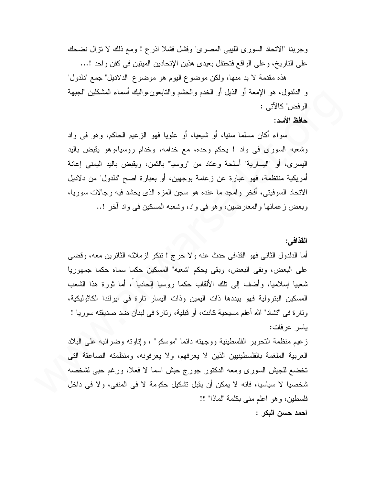وجربنا "الاتحاد السوري الليبي المصري" وفشل فشلا اذرع ! ومع ذلك لا نزال نضحك على التاريخ، و على الواقع فتحتفل بعيدي هذين الإتحادين الميتين في كفن واحد !...

هذه مقدمة لا بد منها، ولكن موضوع اليوم هو موضوع "الدلاديل" جمع "دلدول" و الدلدول، هو الإمعة أو الذيل أو الخدم والحشم والنابعون،واليك أسماء المشكلين "لجبهة الر فض" كالآتي :

## حافظ الأسد:

سواء أكان مسلما سنيا، أو شيعيا، أو علويا فهو الزعيم الحاكم، وهو في واد وشعبه السوري في واد ! يحكم وحده، مع خدامه، وخدام روسيا،وهو يقبض باليد اليسرى، أو "اليسارية" أسلحة وعناد من "روسيا" بالنَّمن، ويقبض باليد اليمنى إعانة أمريكية منتظمة، فهو عبارة عن زعامة بوجهين، أو بعبارة اصح "دلدول" من دلاديل الاتحاد السوفيتي، أفخر وامجد ما عنده هو سجن المزه الذي يحشد فيه رجالات سوريا، وبعض زعمائها والمعارضين، وهو في واد، وشعبه المسكين في واد أخر !..

## القذافي:

أما الدلدول الثاني فهو القذافي حدث عنه و لا حرج ! نتكر لزملائه الثائرين معه، وقضبي على البعض، ونفي البعض، وبقى يحكم "شعبه" المسكين حكما سماه حكما جمهوريا شعبيا اِسلاميا، وأضف إلى نلك الألقاب حكما روسيا اِلحاديا َ، أما ثورة هذا الشعب المسكين البترولية فهو يبددها ذات اليمين وذات اليسار تارة في ايرلندا الكاثوليكية، ونارِ ة في "تشاد" الله أعلم مسيحية كانت، أو قبلية، ونارِ ة في لبنانٍ ضد صديقته سورِ يا ! باسر عرفات:

زعيم منظمة النحرير الفلسطينية ووجهته دائما "موسكو" ، وإناوته وضرائبه على البلاد العربية الملغمة بالفلسطينيين الذين لا يعرفهم، ولا يعرفونه، ومنظمته الصاعقة التبي تخضع للجيش السوري ومعه الدكتور جورج حبش اسما لا فعلا، ورغم حبي لشخصه شخصيا لا سياسيا، فانه لا يمكن أن يقبل تشكيل حكومة لا في المنفي، ولا في داخل فلسطين، وهو اعلم مني بكلمة "لماذا" ؟! احمد حسن البكر :